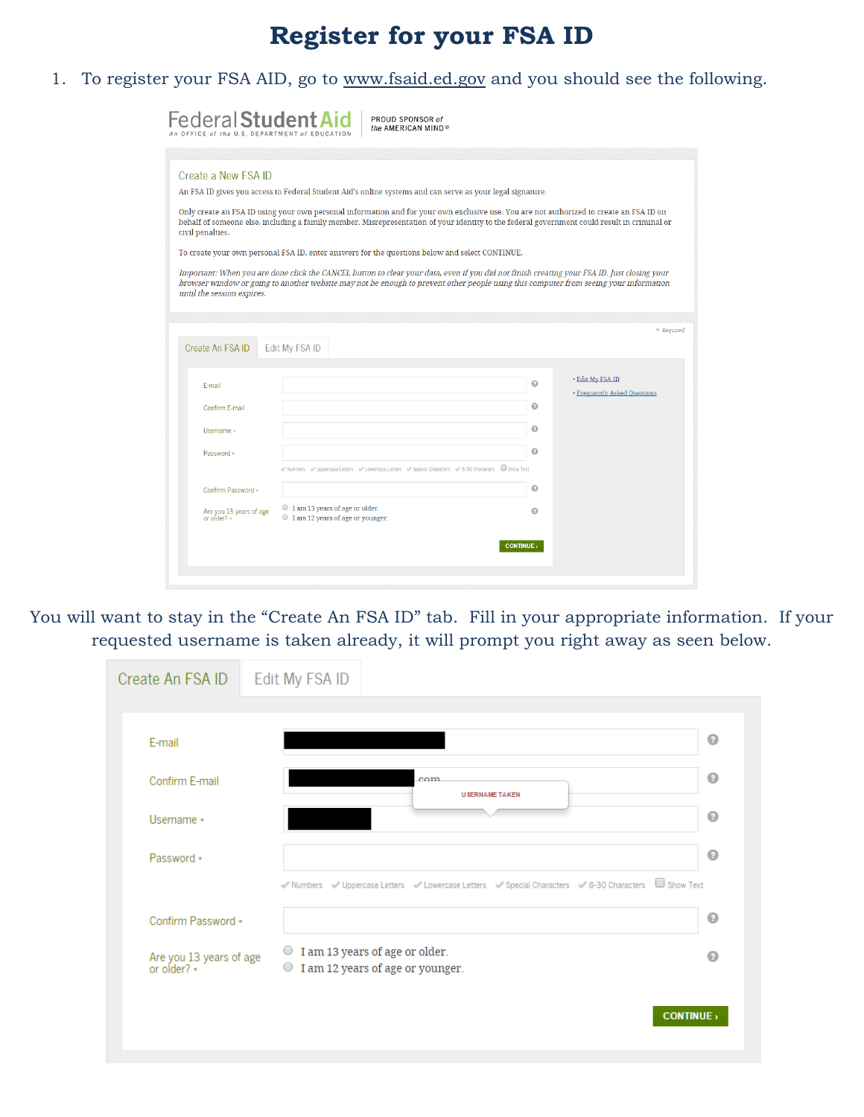# **Register for your FSA ID**

1. To register your FSA AID, go to www.fsaid.ed.gov and you should see the following.

| <b>Federal Student Aid</b><br>An OFFICE of the U.S. DEPARTMENT of EDUCATI                                                                                                                                                                                                            |                                |                                 | PROUD SPONSOR of<br>the AMERICAN MIND®                                                     |                 |        |                                                                                                                                                                                                                                                                                                                                                                                                                                                                                                                                                                                |
|--------------------------------------------------------------------------------------------------------------------------------------------------------------------------------------------------------------------------------------------------------------------------------------|--------------------------------|---------------------------------|--------------------------------------------------------------------------------------------|-----------------|--------|--------------------------------------------------------------------------------------------------------------------------------------------------------------------------------------------------------------------------------------------------------------------------------------------------------------------------------------------------------------------------------------------------------------------------------------------------------------------------------------------------------------------------------------------------------------------------------|
| Create a New FSA ID<br>An FSA ID gives you access to Federal Student Aid's online systems and can serve as your legal signature.<br>civil penalties.<br>To create your own personal FSA ID, enter answers for the questions below and select CONTINUE.<br>until the session expires. |                                |                                 |                                                                                            |                 |        | Only create an FSA ID using your own personal information and for your own exclusive use. You are not authorized to create an FSA ID on<br>behalf of someone else, including a family member. Misrepresentation of your identity to the federal government could result in criminal or<br>Important: When you are done click the CANCEL button to clear your data, even if you did not finish creating your FSA ID. Just closing your<br>browser window or going to another website may not be enough to prevent other people using this computer from seeing your information |
| Create An FSA ID                                                                                                                                                                                                                                                                     | Edit My FSA ID                 |                                 |                                                                                            |                 |        | * Required                                                                                                                                                                                                                                                                                                                                                                                                                                                                                                                                                                     |
| F-mail<br>Confirm E-mail                                                                                                                                                                                                                                                             |                                |                                 |                                                                                            |                 | ຨ<br>◉ | • Edit My FSA ID<br><b>• Frequently Asked Questions</b>                                                                                                                                                                                                                                                                                                                                                                                                                                                                                                                        |
| Username *<br>Password *                                                                                                                                                                                                                                                             |                                |                                 | Winnbers Winpercase Letters Windows Letters Windows Characters 2-8-30 Characters Show Text |                 | 0<br>Q |                                                                                                                                                                                                                                                                                                                                                                                                                                                                                                                                                                                |
| Confirm Password +<br>Are you 13 years of age<br>or older? *                                                                                                                                                                                                                         | I am 13 years of age or older. | lam 12 years of age or younger. |                                                                                            |                 | ๏<br>Q |                                                                                                                                                                                                                                                                                                                                                                                                                                                                                                                                                                                |
|                                                                                                                                                                                                                                                                                      |                                |                                 |                                                                                            | <b>CONTINUE</b> |        |                                                                                                                                                                                                                                                                                                                                                                                                                                                                                                                                                                                |

You will want to stay in the "Create An FSA ID" tab. Fill in your appropriate information. If your requested username is taken already, it will prompt you right away as seen below.

| Create An FSA ID   Edit My FSA ID      |                                                                                                |                 |
|----------------------------------------|------------------------------------------------------------------------------------------------|-----------------|
|                                        |                                                                                                |                 |
| E-mail                                 |                                                                                                | ◉               |
| Confirm F-mail                         | cm <sub>m</sub><br><b>USERNAME TAKEN</b>                                                       | ◉               |
| Username *                             |                                                                                                | ◉               |
| Password *                             |                                                                                                | ◉               |
|                                        | Vienbers Viepercase Letters Viewercase Letters Vispecial Characters V8-30 Characters Show Text |                 |
| Confirm Password *                     |                                                                                                | ◉               |
| Are you 13 years of age<br>or older? * | ○ I am 13 years of age or older.<br>$\bigcirc$<br>I am 12 years of age or younger.             | Q               |
|                                        |                                                                                                | <b>CONTINUE</b> |
|                                        |                                                                                                |                 |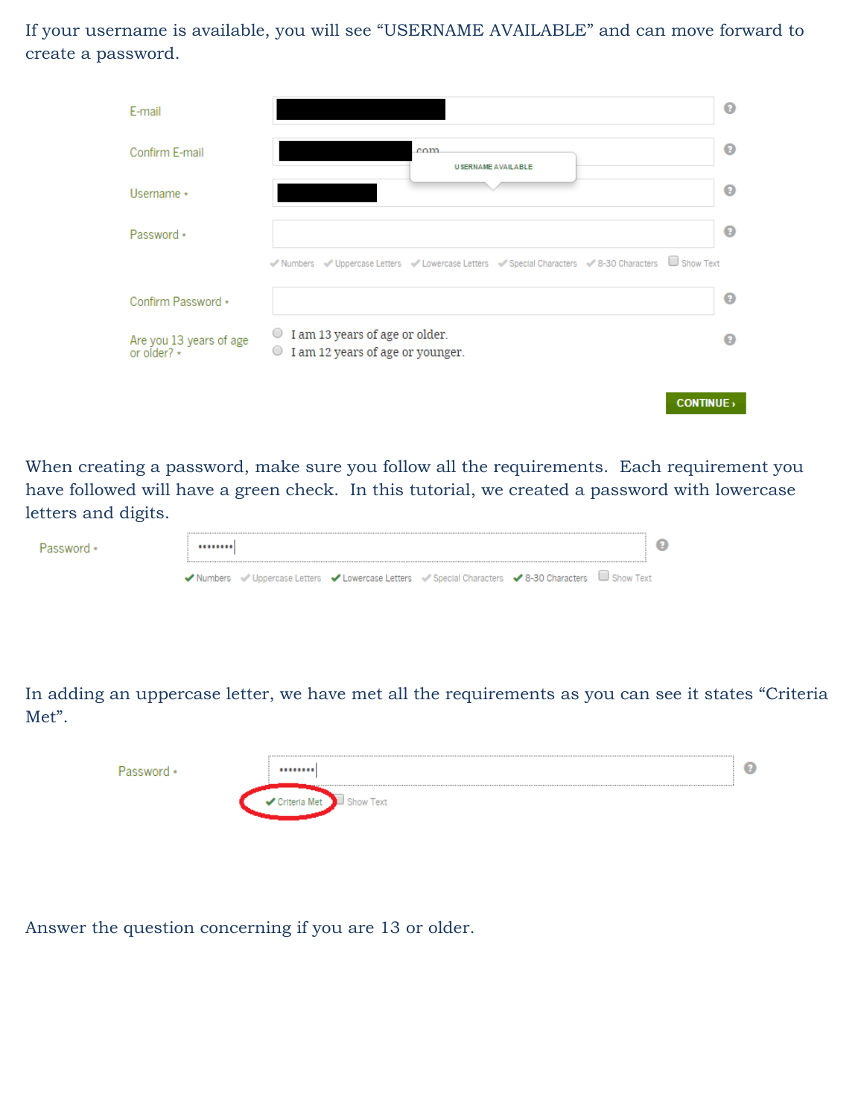If your username is available, you will see "USERNAME AVAILABLE" and can move forward to create a password.

|                                                                                 | ℯ                                                                                                                  |
|---------------------------------------------------------------------------------|--------------------------------------------------------------------------------------------------------------------|
| $_{\text{c}nm}$<br><b>USERNAME AVAILABLE</b>                                    | ℯ                                                                                                                  |
|                                                                                 | ℯ                                                                                                                  |
|                                                                                 | 0                                                                                                                  |
|                                                                                 |                                                                                                                    |
|                                                                                 | Q                                                                                                                  |
| ○ I am 13 years of age or older.<br>I am 12 years of age or younger.<br>$\circ$ |                                                                                                                    |
|                                                                                 |                                                                                                                    |
|                                                                                 | Vienbers Viepercase Letters Viewercase Letters Vispecial Characters Vi8-30 Characters Show Text<br><b>CONTINUE</b> |

When creating a password, make sure you follow all the requirements. Each requirement you have followed will have a green check. In this tutorial, we created a password with lowercase letters and digits.

| Password * |  |                                                                                                      | a |  |
|------------|--|------------------------------------------------------------------------------------------------------|---|--|
|            |  | ◆ Numbers → Uppercase Letters → Lowercase Letters → Special Characters → 8-30 Characters → Show Text |   |  |
|            |  |                                                                                                      |   |  |

In adding an uppercase letter, we have met all the requirements as you can see it states "Criteria Met".

| u<br>                  |
|------------------------|
| Text<br><b>SALLAND</b> |

Answer the question concerning if you are 13 or older.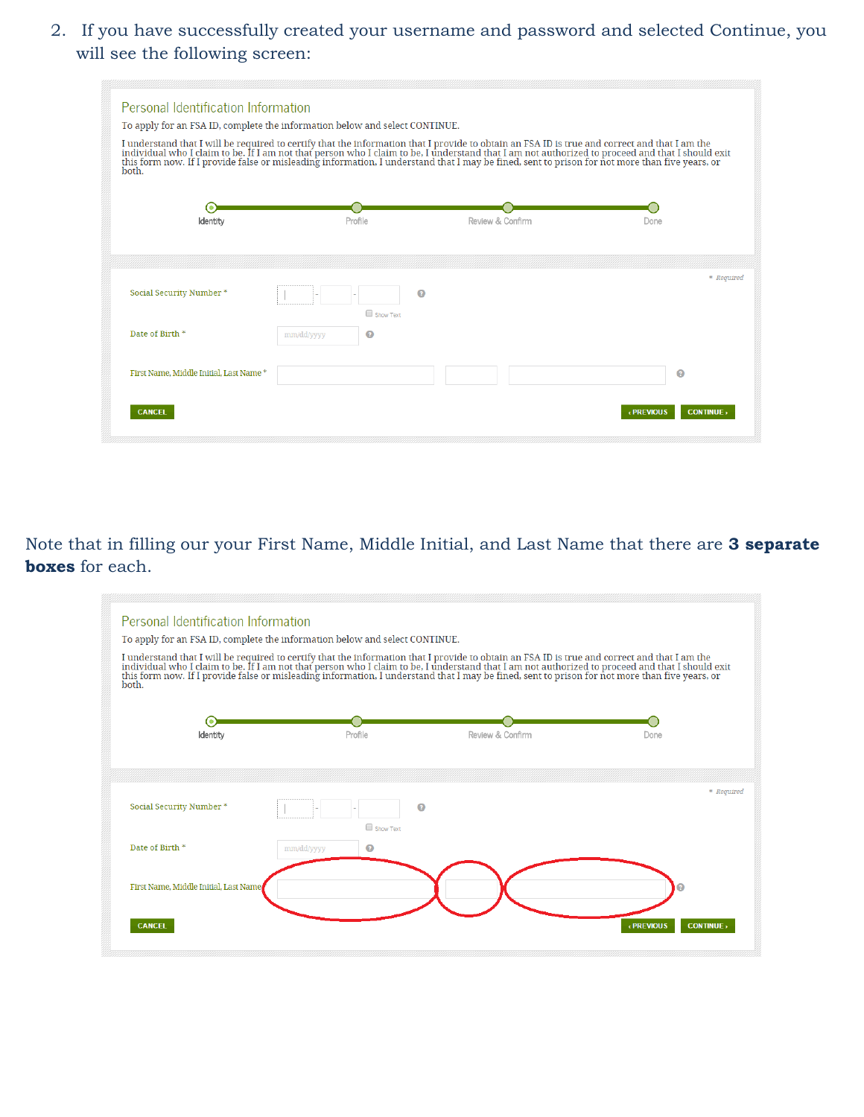2. If you have successfully created your username and password and selected Continue, you will see the following screen:

| Personal Identification Information<br>To apply for an FSA ID, complete the information below and select CONTINUE.<br>both. |                 |                  | I understand that I will be required to certify that the information that I provide to obtain an FSA ID is true and correct and that I am the<br>individual who I claim to be. If I am not that person who I claim to be, I under |
|-----------------------------------------------------------------------------------------------------------------------------|-----------------|------------------|-----------------------------------------------------------------------------------------------------------------------------------------------------------------------------------------------------------------------------------|
| Identity                                                                                                                    | Profile         | Review & Confirm | Done                                                                                                                                                                                                                              |
| Social Security Number *                                                                                                    | Show Text       | Ω                | * Required                                                                                                                                                                                                                        |
| Date of Birth *                                                                                                             | Ø<br>mm/dd/yyyy |                  |                                                                                                                                                                                                                                   |
| First Name, Middle Initial, Last Name*                                                                                      |                 |                  | ๏                                                                                                                                                                                                                                 |
| <b>CANCEL</b>                                                                                                               |                 |                  | <b>CONTINUE</b><br>« PREVIOUS                                                                                                                                                                                                     |

 **boxes** for each. Note that in filling our your First Name, Middle Initial, and Last Name that there are **3 separate** 

| Personal Identification Information<br>To apply for an FSA ID, complete the information below and select CONTINUE.<br>I understand that I will be required to certify that the information that I provide to obtain an FSA ID is true and correct and that I am the<br>individual who I claim to be. If I am not that person who I claim to be, I under<br>both. |                 |                  |                               |
|------------------------------------------------------------------------------------------------------------------------------------------------------------------------------------------------------------------------------------------------------------------------------------------------------------------------------------------------------------------|-----------------|------------------|-------------------------------|
| Identity                                                                                                                                                                                                                                                                                                                                                         | Profile         | Review & Confirm | Done                          |
| Social Security Number *                                                                                                                                                                                                                                                                                                                                         | Ω<br>Show Text  |                  | * Required                    |
| Date of Birth *                                                                                                                                                                                                                                                                                                                                                  | mm/dd/yyyy<br>Ω |                  |                               |
| First Name, Middle Initial, Last Name<br><b>CANCEL</b>                                                                                                                                                                                                                                                                                                           |                 |                  | « PREVIOUS<br><b>CONTINUE</b> |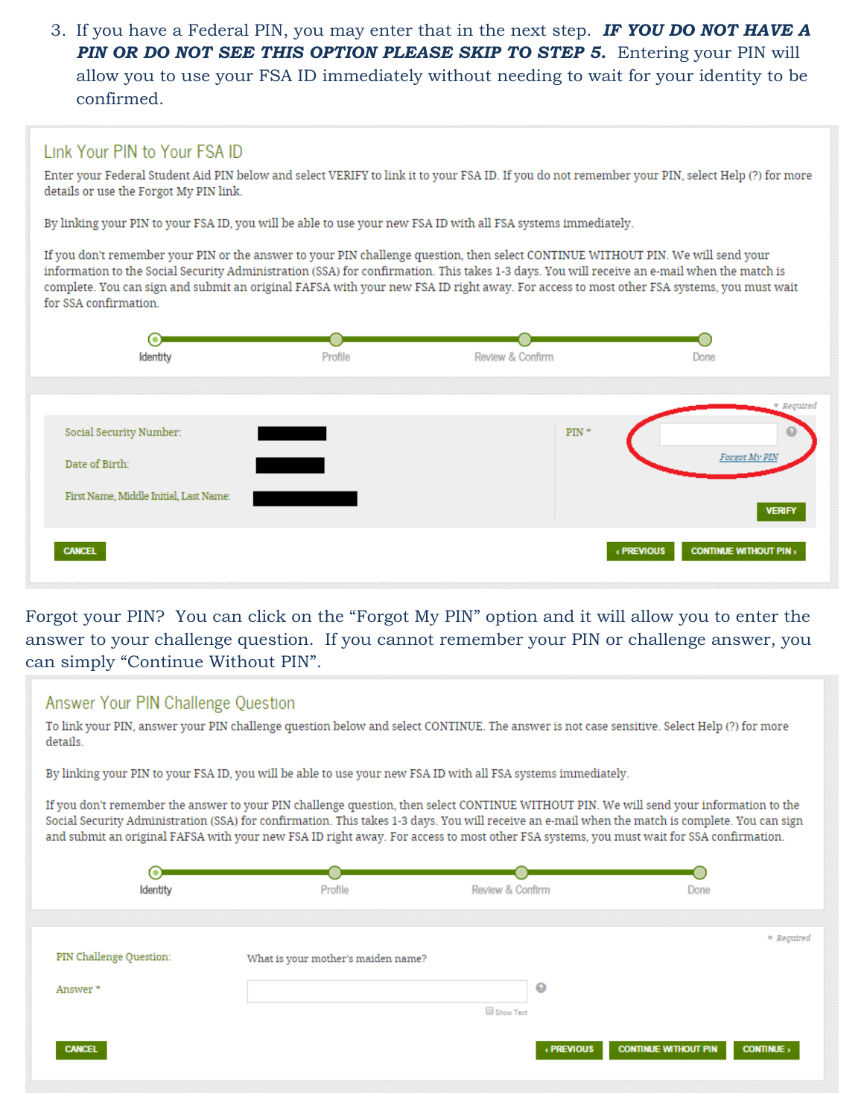3. If you have a Federal PIN, you may enter that in the next step. *IF YOU DO NOT HAVE A PIN OR DO NOT SEE THIS OPTION PLEASE SKIP TO STEP 5. Entering your PIN will* allow you to use your FSA ID immediately without needing to wait for your identity to be confirmed.

### Link Your PIN to Your FSA ID

Enter your Federal Student Aid PIN below and select VERIFY to link it to your FSA ID. If you do not remember your PIN, select Help (?) for more details or use the Forgot My PIN link.

By linking your PIN to your FSA ID, you will be able to use your new FSA ID with all FSA systems immediately.

If you don't remember your PIN or the answer to your PIN challenge question, then select CONTINUE WITHOUT PIN. We will send your information to the Social Security Administration (SSA) for confirmation. This takes 1-3 days. You will receive an e-mail when the match is complete. You can sign and submit an original FAFSA with your new FSA ID right away. For access to most other FSA systems, you must wait for SSA confirmation.



 answer to your challenge question. If you cannot remember your PIN or challenge answer, you Forgot your PIN? You can click on the "Forgot My PIN" option and it will allow you to enter the can simply "Continue Without PIN".

#### Answer Your PIN Challenge Question

To link your PIN, answer your PIN challenge question below and select CONTINUE. The answer is not case sensitive. Select Help (?) for more details.

By linking your PIN to your FSA ID, you will be able to use your new FSA ID with all FSA systems immediately.

If you don't remember the answer to your PIN challenge question, then select CONTINUE WITHOUT PIN. We will send your information to the Social Security Administration (SSA) for confirmation. This takes 1-3 days. You will receive an e-mail when the match is complete. You can sign and submit an original FAFSA with your new FSA ID right away. For access to most other FSA systems, you must wait for SSA confirmation.

| 0)<br>Identity           | Profile                            | Review & Confirm             | Done                                           |
|--------------------------|------------------------------------|------------------------------|------------------------------------------------|
| PIN Challenge Question:  | What is your mother's maiden name? |                              | * Required                                     |
| Answer*<br><b>CANCEL</b> |                                    | ◉<br>Show Text<br>« PREVIOUS | <b>CONTINUE WITHOUT PIN</b><br><b>CONTINUE</b> |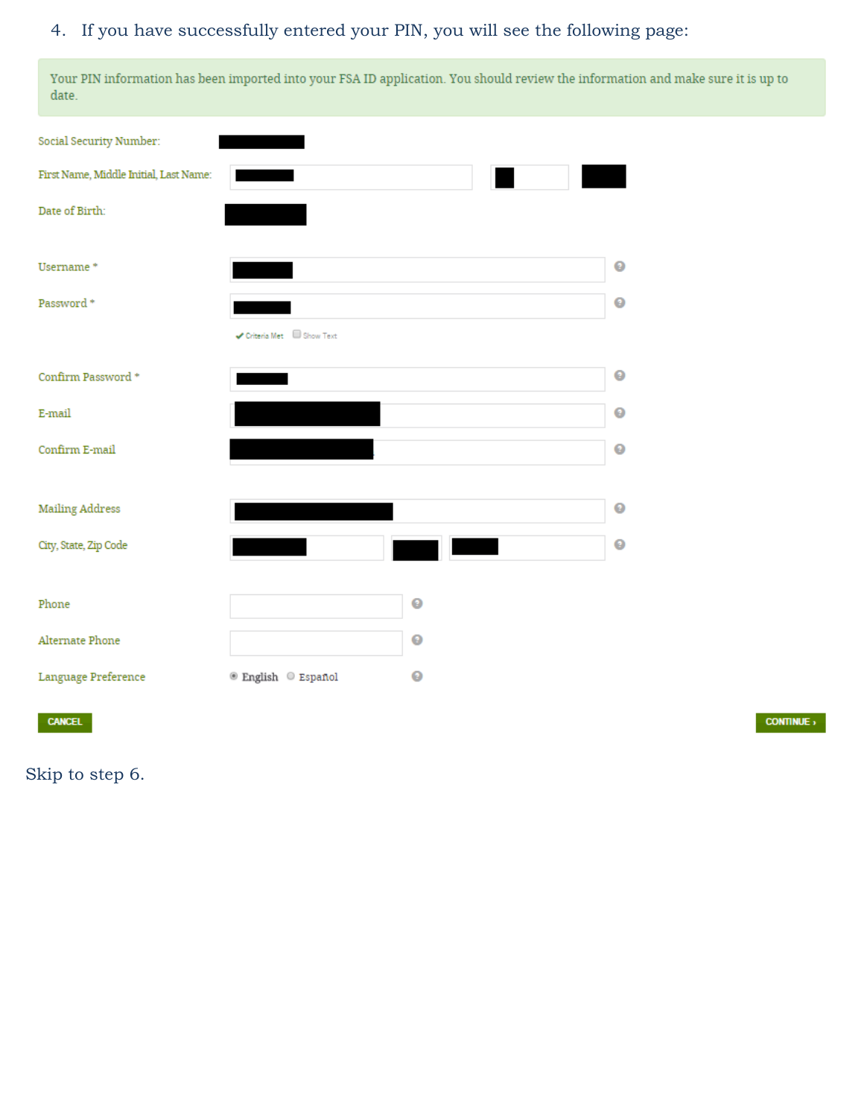### 4. If you have successfully entered your PIN, you will see the following page:

Your PIN information has been imported into your FSA ID application. You should review the information and make sure it is up to date.

| Social Security Number:                |                        |           |           |
|----------------------------------------|------------------------|-----------|-----------|
| First Name, Middle Initial, Last Name: |                        |           |           |
| Date of Birth:                         |                        |           |           |
| Username*                              |                        |           | $\bullet$ |
| Password *                             |                        |           | $\bullet$ |
|                                        | Criteria Met Show Text |           |           |
| Confirm Password *                     |                        |           | $\bullet$ |
| E-mail                                 |                        |           | $\bullet$ |
| Confirm E-mail                         |                        |           | $\bullet$ |
|                                        |                        |           |           |
| <b>Mailing Address</b>                 |                        |           | $\bullet$ |
| City, State, Zip Code                  |                        |           | $\bullet$ |
|                                        |                        |           |           |
| Phone                                  |                        | $\bullet$ |           |
| Alternate Phone                        |                        | ◉         |           |
| Language Preference                    | ® English © Español    | ◉         |           |
|                                        |                        |           |           |

**CANCEL** 

 $\overline{\text{CONTINUE}}$ 

Skip to step 6.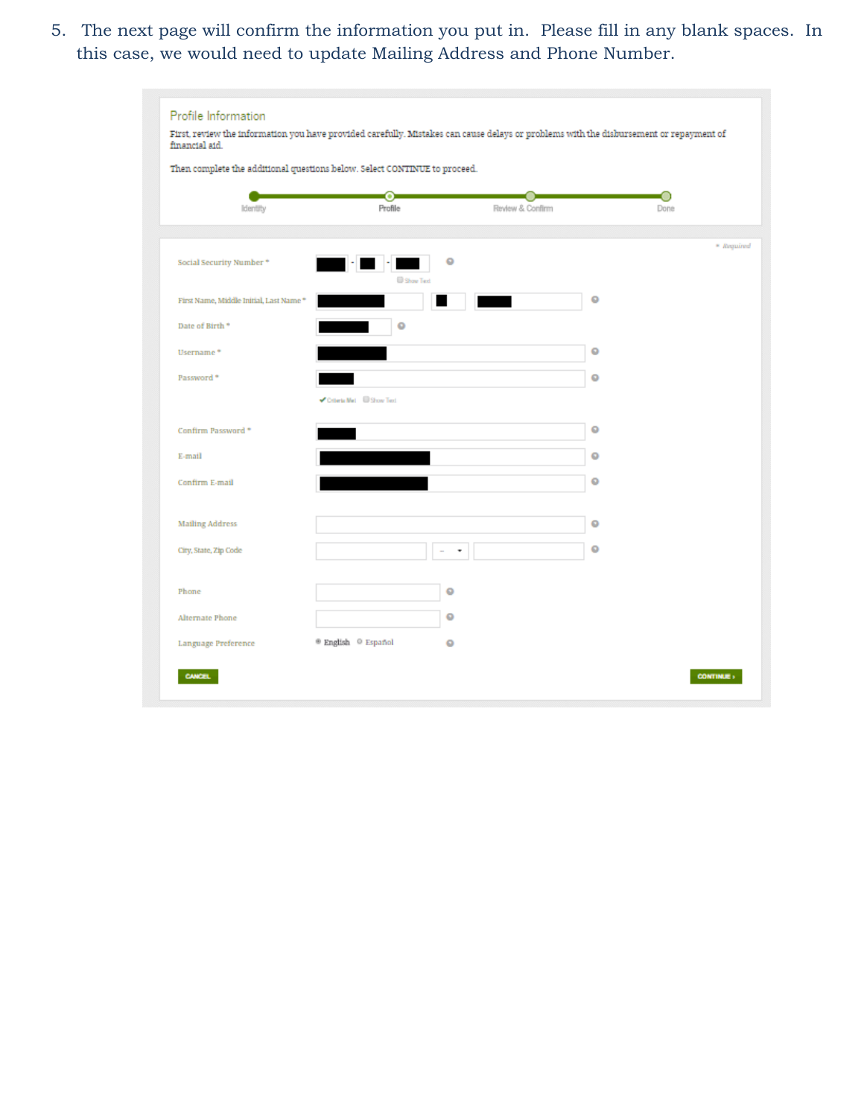5. The next page will confirm the information you put in. Please fill in any blank spaces. In this case, we would need to update Mailing Address and Phone Number.

|                                         | Then complete the additional questions below. Select CONTINUE to proceed. |                  |           |            |
|-----------------------------------------|---------------------------------------------------------------------------|------------------|-----------|------------|
| Identity                                | $\rm ^{\rm o}$<br>Profile                                                 | Review & Confirm |           | Done       |
| Social Security Number*                 | ٥                                                                         |                  |           | * Required |
| First Name, Middle Initial, Last Name * | Show Text                                                                 |                  | ۰         |            |
| Date of Birth <sup>*</sup>              | $\circ$                                                                   |                  |           |            |
| Username <sup>*</sup>                   |                                                                           |                  | $\bullet$ |            |
| Password <sup>*</sup>                   |                                                                           |                  | ۰         |            |
|                                         | Criteria Met <b>Bishow Text</b>                                           |                  |           |            |
| Confirm Password *                      |                                                                           |                  | $\circ$   |            |
| E-mail                                  |                                                                           |                  | ۰         |            |
| Confirm E-mail                          |                                                                           |                  | ۰         |            |
|                                         |                                                                           |                  |           |            |
| Mailing Address                         |                                                                           |                  | $\circ$   |            |
| City, State, Zip Code                   | ٠                                                                         |                  | $\circ$   |            |
| Phone                                   | ۰                                                                         |                  |           |            |
| Alternate Phone                         | ٥                                                                         |                  |           |            |
| Language Preference                     | ® English © Español<br>٥                                                  |                  |           |            |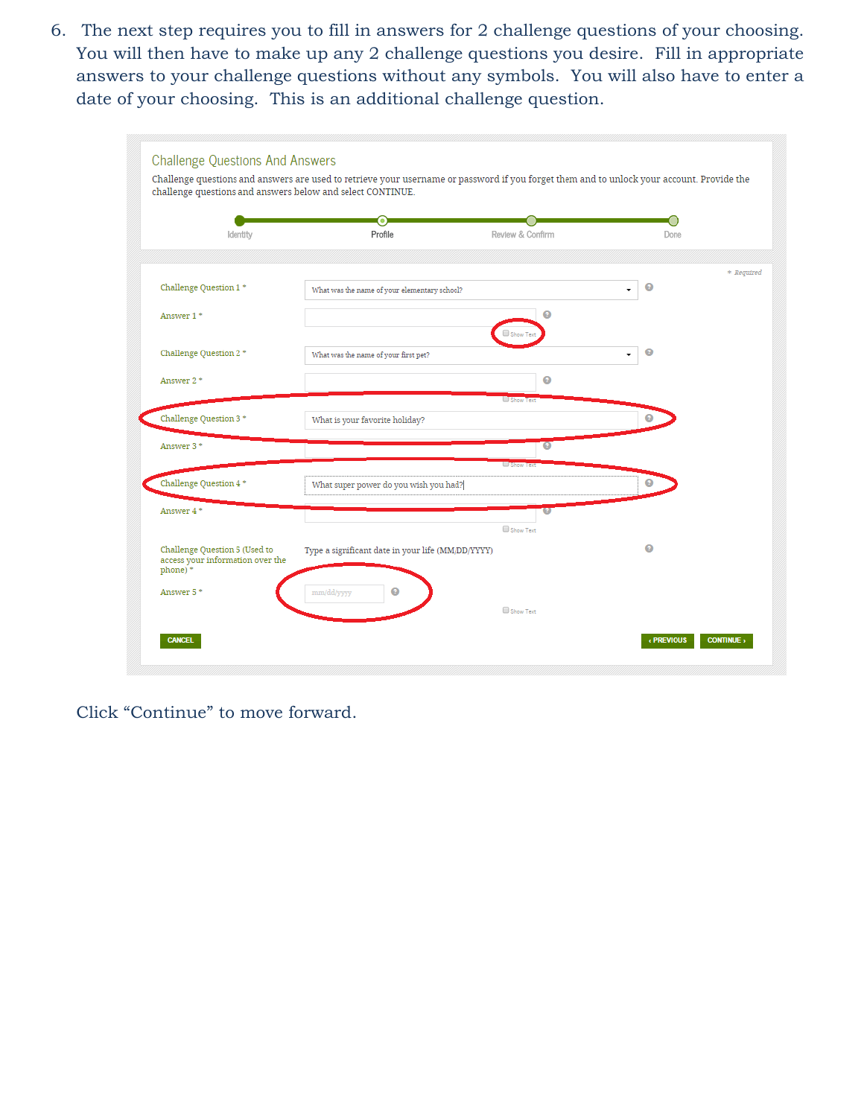answers to your challenge questions without any symbols. You will also have to enter a 6. The next step requires you to fill in answers for 2 challenge questions of your choosing. You will then have to make up any 2 challenge questions you desire. Fill in appropriate date of your choosing. This is an additional challenge question.

|                                                                   | О                                                 |                  |                |            |
|-------------------------------------------------------------------|---------------------------------------------------|------------------|----------------|------------|
| Identity                                                          | Profile                                           | Review & Confirm | Done           |            |
|                                                                   |                                                   |                  |                | * Required |
| Challenge Question 1 *                                            | What was the name of your elementary school?      |                  | ◉              |            |
| Answer 1*                                                         |                                                   | Q                |                |            |
| Challenge Question 2 *                                            | What was the name of your first pet?              |                  | $\bullet$<br>÷ |            |
| Answer 2*                                                         |                                                   | ๏<br>Show Text   |                |            |
| Challenge Question 3 *                                            | What is your favorite holiday?                    |                  | 0              |            |
| Answer 3*                                                         |                                                   | 0                |                |            |
| Challenge Question 4 *                                            | What super power do you wish you had?             | Show Text        | ◉              |            |
| Answer 4*                                                         |                                                   |                  |                |            |
| Challenge Question 5 (Used to<br>access your information over the | Type a significant date in your life (MM/DD/YYYY) | Show Text        | 0              |            |
| phone)*                                                           |                                                   |                  |                |            |
| Answer 5*                                                         | $\bullet$<br>mm/dd/yyyy                           |                  |                |            |

Click "Continue" to move forward.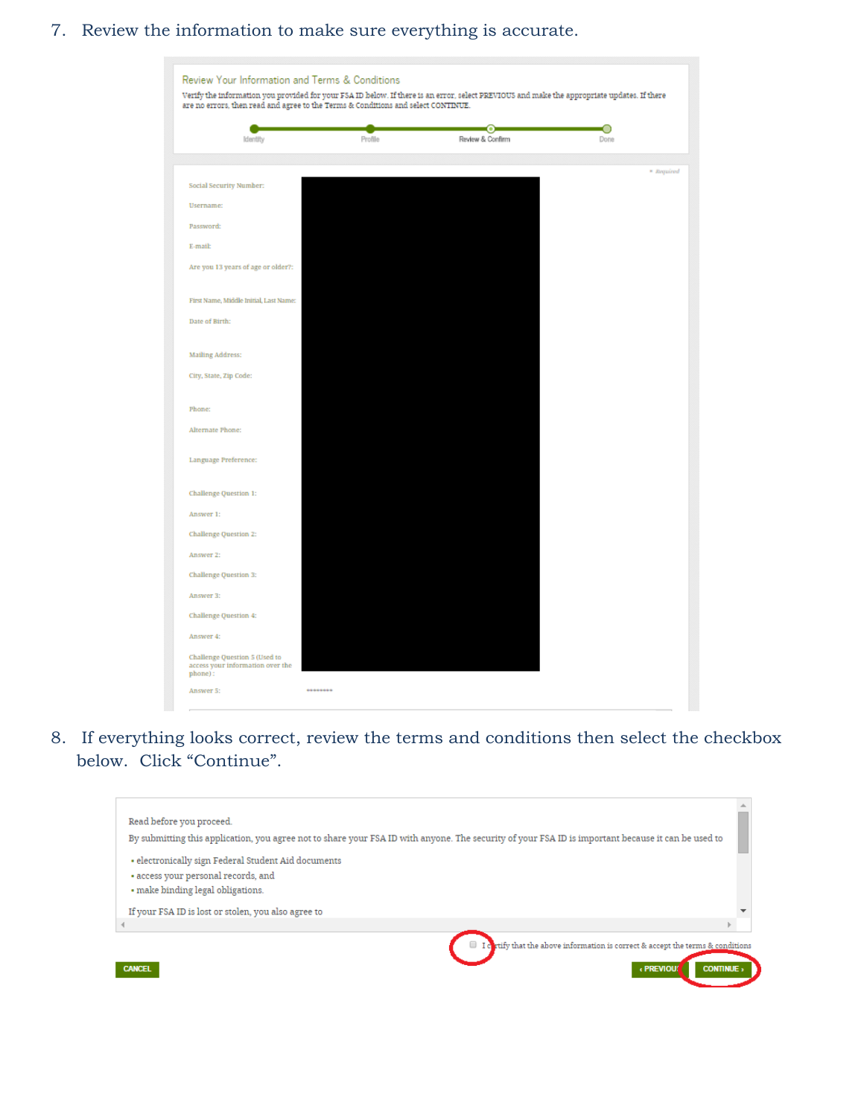## 7. Review the information to make sure everything is accurate.

|                                                                   |         | $_{\odot}$       | О          |
|-------------------------------------------------------------------|---------|------------------|------------|
| Identity                                                          | Profile | Review & Confirm | Done       |
|                                                                   |         |                  | * Required |
| Social Security Number:                                           |         |                  |            |
| <b>Username:</b>                                                  |         |                  |            |
| Password:                                                         |         |                  |            |
| E-mail:                                                           |         |                  |            |
| Are you 13 years of age or older?:                                |         |                  |            |
| First Name, Middle Initial, Last Name:                            |         |                  |            |
| Date of Birth:                                                    |         |                  |            |
| <b>Mailing Address:</b>                                           |         |                  |            |
| City, State, Zip Code:                                            |         |                  |            |
| Phone:                                                            |         |                  |            |
| Alternate Phone:                                                  |         |                  |            |
| Language Preference:                                              |         |                  |            |
| Challenge Question 1:                                             |         |                  |            |
| Answer 1:                                                         |         |                  |            |
| <b>Challenge Question 2:</b>                                      |         |                  |            |
| Answer 2:                                                         |         |                  |            |
| Challenge Question 3:                                             |         |                  |            |
| Answer 3:                                                         |         |                  |            |
| <b>Challenge Question 4:</b>                                      |         |                  |            |
| Answer 4:                                                         |         |                  |            |
| Challenge Question 5 (Used to<br>access your information over the |         |                  |            |

8. If everything looks correct, review the terms and conditions then select the checkbox below. Click "Continue".

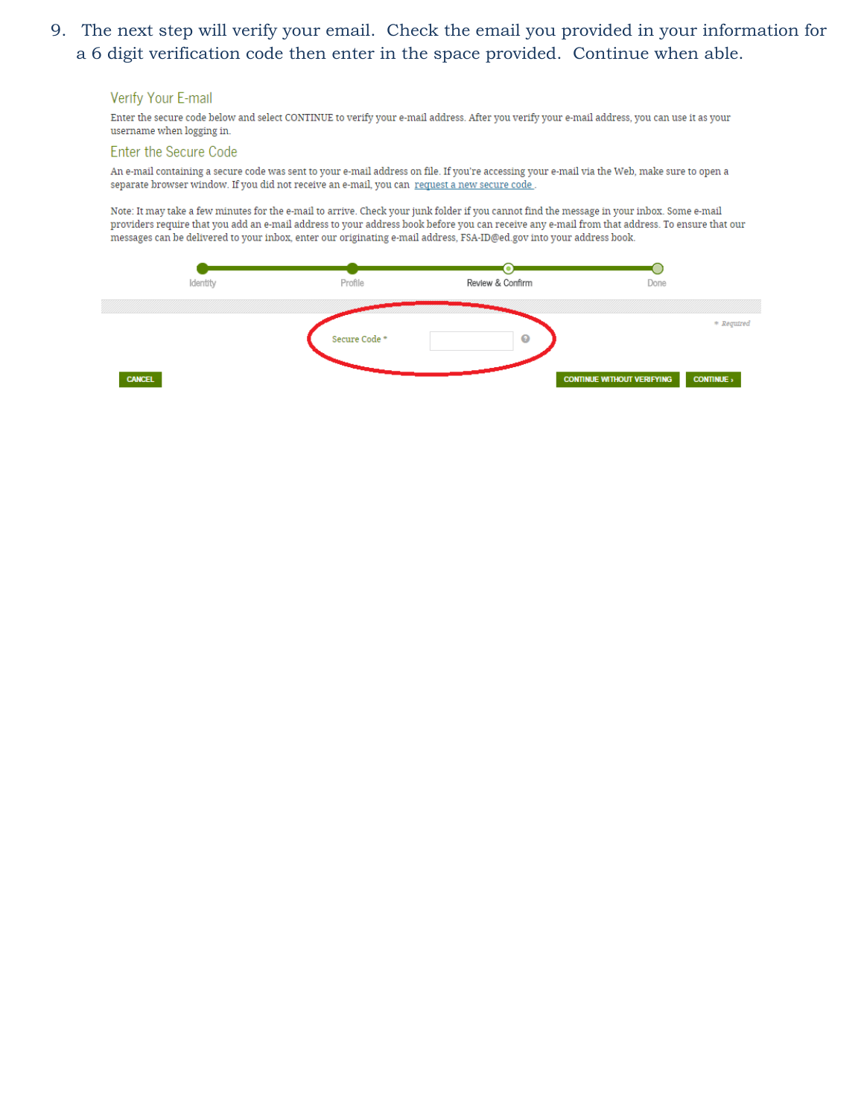# 9. The next step will verify your email. Check the email you provided in your information for a 6 digit verification code then enter in the space provided. Continue when able.

#### **Verify Your E-mail**

Enter the secure code below and select CONTINUE to verify your e-mail address. After you verify your e-mail address, you can use it as your username when logging in.

#### Enter the Secure Code

An e-mail containing a secure code was sent to your e-mail address on file. If you're accessing your e-mail via the Web, make sure to open a separate browser window. If you did not receive an e-mail, you can request a new secure code .

Note: It may take a few minutes for the e-mail to arrive. Check your junk folder if you cannot find the message in your inbox. Some e-mail providers require that you add an e-mail address to your address book before you can receive any e-mail from that address. To ensure that our messages can be delivered to your inbox, enter our originating e-mail address, FSA-ID@ed.gov into your address book.

| Identity      | Profile       | Review & Confirm | Done                                                 |
|---------------|---------------|------------------|------------------------------------------------------|
|               | Secure Code * | $\bullet$        | * Required                                           |
| <b>CANCEL</b> |               |                  | <b>CONTINUE</b><br><b>CONTINUE WITHOUT VERIFYING</b> |